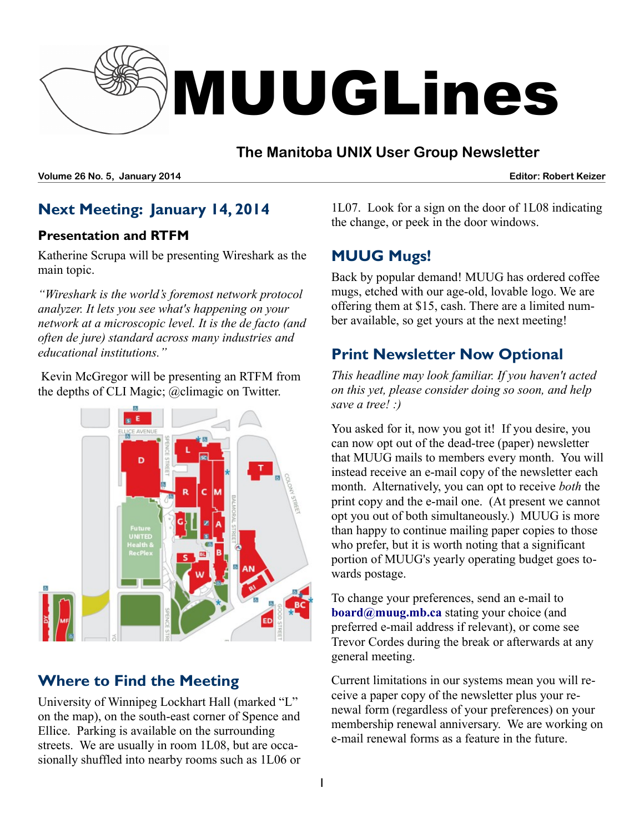

#### **The Manitoba UNIX User Group Newsletter**

**Volume 26 No. 5, January 2014 Editor: Robert Keizer**

# **Next Meeting: January 14, 2014**

#### **Presentation and RTFM**

Katherine Scrupa will be presenting Wireshark as the main topic.

*"Wireshark is the world's foremost network protocol analyzer. It lets you see what's happening on your network at a microscopic level. It is the de facto (and often de jure) standard across many industries and educational institutions."*

 Kevin McGregor will be presenting an RTFM from the depths of CLI Magic; @climagic on Twitter.



# **Where to Find the Meeting**

University of Winnipeg Lockhart Hall (marked "L" on the map), on the south-east corner of Spence and Ellice. Parking is available on the surrounding streets. We are usually in room 1L08, but are occasionally shuffled into nearby rooms such as 1L06 or

1L07. Look for a sign on the door of 1L08 indicating the change, or peek in the door windows.

# **MUUG Mugs!**

Back by popular demand! MUUG has ordered coffee mugs, etched with our age-old, lovable logo. We are offering them at \$15, cash. There are a limited number available, so get yours at the next meeting!

# **Print Newsletter Now Optional**

*This headline may look familiar. If you haven't acted on this yet, please consider doing so soon, and help save a tree! :)*

You asked for it, now you got it! If you desire, you can now opt out of the dead-tree (paper) newsletter that MUUG mails to members every month. You will instead receive an e-mail copy of the newsletter each month. Alternatively, you can opt to receive *both* the print copy and the e-mail one. (At present we cannot opt you out of both simultaneously.) MUUG is more than happy to continue mailing paper copies to those who prefer, but it is worth noting that a significant portion of MUUG's yearly operating budget goes towards postage.

To change your preferences, send an e-mail to **[board@muug.mb.ca](mailto:board@muug.mb.ca)** stating your choice (and preferred e-mail address if relevant), or come see Trevor Cordes during the break or afterwards at any general meeting.

Current limitations in our systems mean you will receive a paper copy of the newsletter plus your renewal form (regardless of your preferences) on your membership renewal anniversary. We are working on e-mail renewal forms as a feature in the future.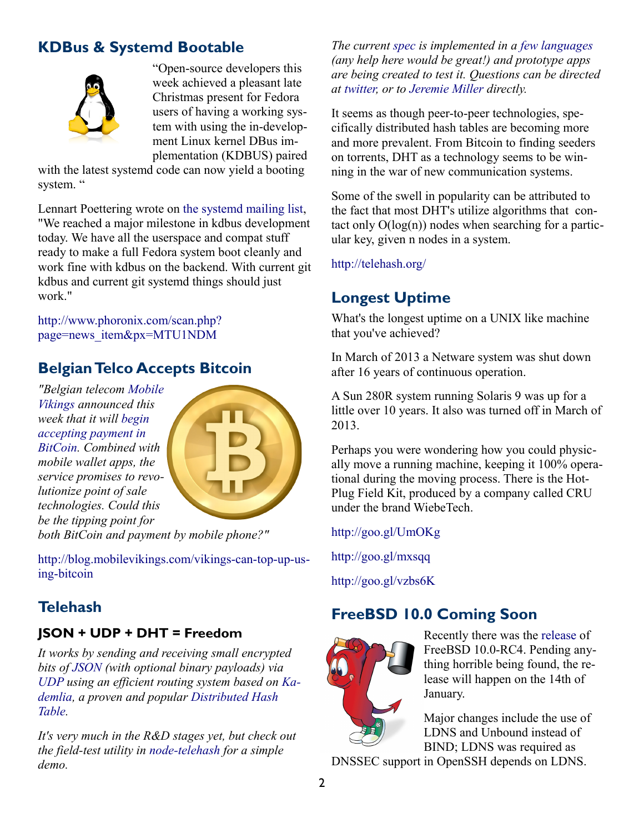# **KDBus & Systemd Bootable**



"Open-source developers this week achieved a pleasant late Christmas present for Fedora users of having a working system with using the in-development Linux kernel DBus implementation (KDBUS) paired

with the latest systemd code can now yield a booting system. "

Lennart Poettering wrote on [the systemd mailing list,](http://lists.freedesktop.org/archives/systemd-devel/2013-December/015836.html) "We reached a major milestone in kdbus development today. We have all the userspace and compat stuff ready to make a full Fedora system boot cleanly and work fine with kdbus on the backend. With current git kdbus and current git systemd things should just work."

[http://www.phoronix.com/scan.php?](http://www.phoronix.com/scan.php?page=news_item&px=MTU1NDM) [page=news\\_item&px=MTU1NDM](http://www.phoronix.com/scan.php?page=news_item&px=MTU1NDM)

# **Belgian Telco Accepts Bitcoin**

*"Belgian telecom [Mobile](https://mobilevikings.com/bel/en/) [Vikings](https://mobilevikings.com/bel/en/) announced this week that it will [begin](http://www.coindesk.com/mobile-vikings-first-cellular-network-accept-bitcoin/) [accepting payment in](http://www.coindesk.com/mobile-vikings-first-cellular-network-accept-bitcoin/) [BitCoin.](http://www.coindesk.com/mobile-vikings-first-cellular-network-accept-bitcoin/) Combined with mobile wallet apps, the service promises to revolutionize point of sale technologies. Could this be the tipping point for*



*both BitCoin and payment by mobile phone?"*

[http://blog.mobilevikings.com/vikings-can-top-up-us](http://blog.mobilevikings.com/vikings-can-top-up-using-bitcoin)[ing-bitcoin](http://blog.mobilevikings.com/vikings-can-top-up-using-bitcoin)

# **Telehash**

#### **JSON + UDP + DHT = Freedom**

*It works by sending and receiving small encrypted bits of [JSON](http://www.json.org/) (with optional binary payloads) via [UDP](http://en.wikipedia.org/wiki/User_Datagram_Protocol) using an efficient routing system based on [Ka](http://en.wikipedia.org/wiki/Kademlia)[demlia,](http://en.wikipedia.org/wiki/Kademlia) a proven and popular [Distributed Hash](http://en.wikipedia.org/wiki/Distributed_hash_table)  [Table.](http://en.wikipedia.org/wiki/Distributed_hash_table)* 

*It's very much in the R&D stages yet, but check out the field-test utility in [node-telehash](https://github.com/telehash/node-telehash) for a simple demo.* 

*The current [spec](https://github.com/telehash/telehash.org/blob/master/protocol.md) is implemented in a [few languages](https://github.com/telehash/telehash.org/blob/master/protocol.md#telehash-switches) (any help here would be great!) and prototype apps are being created to test it. Questions can be directed at [twitter,](http://twitter.com/jeremie) or to [Jeremie Miller](xmpp:jer@jabber.org) directly.* 

It seems as though peer-to-peer technologies, specifically distributed hash tables are becoming more and more prevalent. From Bitcoin to finding seeders on torrents, DHT as a technology seems to be winning in the war of new communication systems.

Some of the swell in popularity can be attributed to the fact that most DHT's utilize algorithms that contact only  $O(log(n))$  nodes when searching for a particular key, given n nodes in a system.

<http://telehash.org/>

# **Longest Uptime**

What's the longest uptime on a UNIX like machine that you've achieved?

In March of 2013 a Netware system was shut down after 16 years of continuous operation.

A Sun 280R system running Solaris 9 was up for a little over 10 years. It also was turned off in March of 2013.

Perhaps you were wondering how you could physically move a running machine, keeping it 100% operational during the moving process. There is the Hot-Plug Field Kit, produced by a company called CRU under the brand WiebeTech.

<http://goo.gl/UmOKg>

<http://goo.gl/mxsqq>

<http://goo.gl/vzbs6K>

# **FreeBSD 10.0 Coming Soon**



Recently there was the [release](http://lists.freebsd.org/pipermail/freebsd-stable/2014-January/076681.html) of FreeBSD 10.0-RC4. Pending anything horrible being found, the release will happen on the 14th of January.

Major changes include the use of LDNS and Unbound instead of BIND; LDNS was required as

DNSSEC support in OpenSSH depends on LDNS.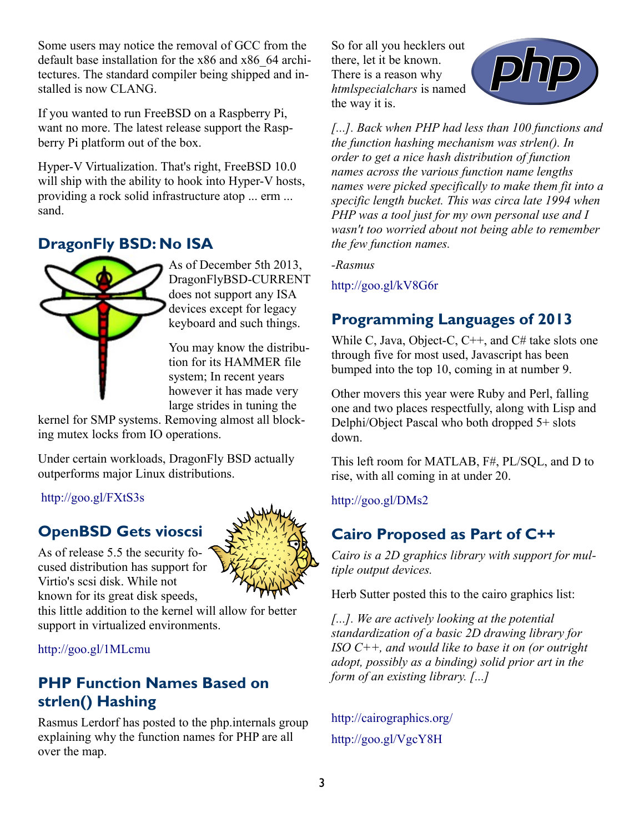Some users may notice the removal of GCC from the default base installation for the x86 and x86\_64 architectures. The standard compiler being shipped and installed is now CLANG.

If you wanted to run FreeBSD on a Raspberry Pi, want no more. The latest release support the Raspberry Pi platform out of the box.

Hyper-V Virtualization. That's right, FreeBSD 10.0 will ship with the ability to hook into Hyper-V hosts, providing a rock solid infrastructure atop ... erm ... sand.

# **DragonFly BSD: No ISA**



As of December 5th 2013, DragonFlyBSD-CURRENT does not support any ISA devices except for legacy keyboard and such things.

You may know the distribution for its HAMMER file system; In recent years however it has made very large strides in tuning the

kernel for SMP systems. Removing almost all blocking mutex locks from IO operations.

Under certain workloads, DragonFly BSD actually outperforms major Linux distributions.

<http://goo.gl/FXtS3s>

# **OpenBSD Gets vioscsi**

As of release 5.5 the security focused distribution has support for Virtio's scsi disk. While not known for its great disk speeds,



this little addition to the kernel will allow for better support in virtualized environments.

<http://goo.gl/1MLcmu>

#### **PHP Function Names Based on strlen() Hashing**

Rasmus Lerdorf has posted to the php.internals group explaining why the function names for PHP are all over the map.

So for all you hecklers out there, let it be known. There is a reason why *htmlspecialchars* is named the way it is.



*[...]. Back when PHP had less than 100 functions and the function hashing mechanism was strlen(). In order to get a nice hash distribution of function names across the various function name lengths names were picked specifically to make them fit into a specific length bucket. This was circa late 1994 when PHP was a tool just for my own personal use and I wasn't too worried about not being able to remember the few function names.*

*-Rasmus*

<http://goo.gl/kV8G6r>

# **Programming Languages of 2013**

While C, Java, Object-C, C<sup>++</sup>, and C# take slots one through five for most used, Javascript has been bumped into the top 10, coming in at number 9.

Other movers this year were Ruby and Perl, falling one and two places respectfully, along with Lisp and Delphi/Object Pascal who both dropped 5+ slots down.

This left room for MATLAB, F#, PL/SQL, and D to rise, with all coming in at under 20.

<http://goo.gl/DMs2>

# **Cairo Proposed as Part of C++**

*Cairo is a 2D graphics library with support for multiple output devices.* 

Herb Sutter posted this to the cairo graphics list:

*[...]. We are actively looking at the potential standardization of a basic 2D drawing library for ISO C++, and would like to base it on (or outright adopt, possibly as a binding) solid prior art in the form of an existing library. [...]*

<http://cairographics.org/> <http://goo.gl/VgcY8H>